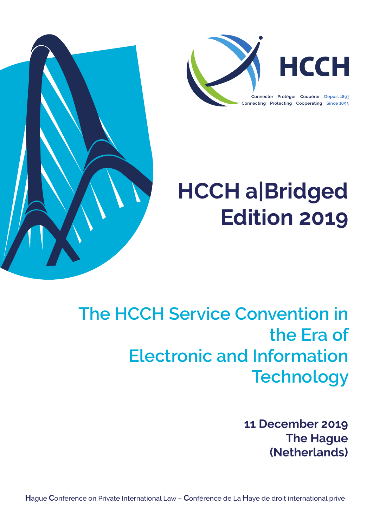

# **HCCH a|Bridged Edition 2019**

<span id="page-0-4"></span><span id="page-0-3"></span><span id="page-0-0"></span>

## <span id="page-0-5"></span><span id="page-0-2"></span><span id="page-0-1"></span>**The HCCH Service Convention in the Era of Electronic and Information Technology**

**11 December 2019 The Hague (Netherlands)**

**H**ague **C**onference on Private International Law – **C**onférence de La **H**aye de droit international privé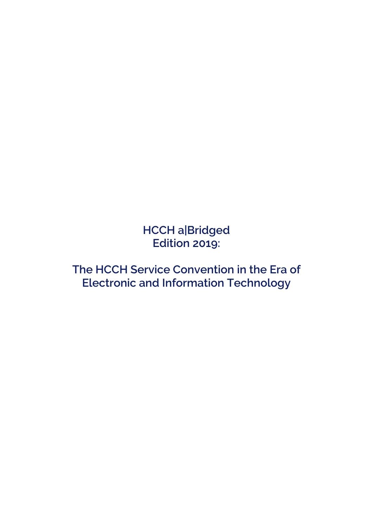**HCCH a|Bridged Edition 2019:** 

**The HCCH Service Convention in the Era of Electronic and Information Technology**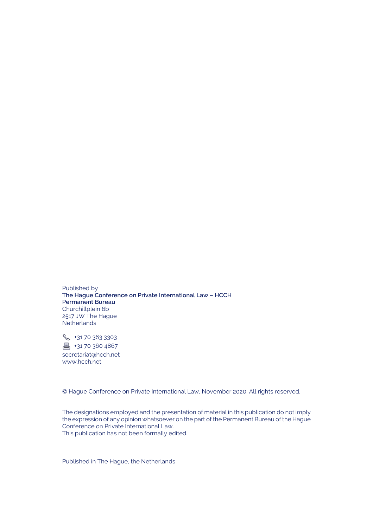Published by **The Hague Conference on Private International Law – HCCH Permanent Bureau** Churchillplein 6b 2517 JW The Hague **Netherlands** 

**& +31 70 363 3303**  $\Box$ +31 70 360 4867 secretariat@hcch.net www.hcch.net

© Hague Conference on Private International Law, November 2020. All rights reserved.

The designations employed and the presentation of material in this publication do not imply the expression of any opinion whatsoever on the part of the Permanent Bureau of the Hague Conference on Private International Law. This publication has not been formally edited.

Published in The Hague, the Netherlands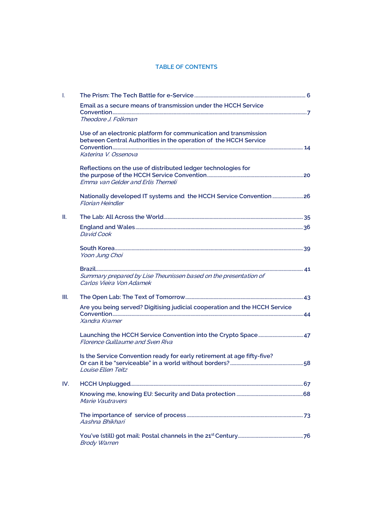#### **TABLE OF CONTENTS**

| Ч.   |                                                                                                                                      |  |
|------|--------------------------------------------------------------------------------------------------------------------------------------|--|
|      | Email as a secure means of transmission under the HCCH Service                                                                       |  |
|      | Theodore J. Folkman                                                                                                                  |  |
|      | Use of an electronic platform for communication and transmission<br>between Central Authorities in the operation of the HCCH Service |  |
|      | Katerina V. Ossenova                                                                                                                 |  |
|      | Reflections on the use of distributed ledger technologies for                                                                        |  |
|      | Emma van Gelder and Erlis Themeli                                                                                                    |  |
|      | Nationally developed IT systems and the HCCH Service Convention 26<br><b>Florian Heindler</b>                                        |  |
| H.   |                                                                                                                                      |  |
|      | David Cook                                                                                                                           |  |
|      | Yoon Jung Choi                                                                                                                       |  |
|      | Summary prepared by Lise Theunissen based on the presentation of<br>Carlos Vieira Von Adamek                                         |  |
| III. |                                                                                                                                      |  |
|      | Are you being served? Digitising judicial cooperation and the HCCH Service                                                           |  |
|      | Xandra Kramer                                                                                                                        |  |
|      | <b>Florence Guillaume and Sven Riva</b>                                                                                              |  |
|      | Is the Service Convention ready for early retirement at age fifty-five?                                                              |  |
|      | Louise Ellen Teitz                                                                                                                   |  |
| IV.  |                                                                                                                                      |  |
|      | Marie Vautravers                                                                                                                     |  |
|      | Aashna Bhikhari                                                                                                                      |  |
|      | <b>Brody Warren</b>                                                                                                                  |  |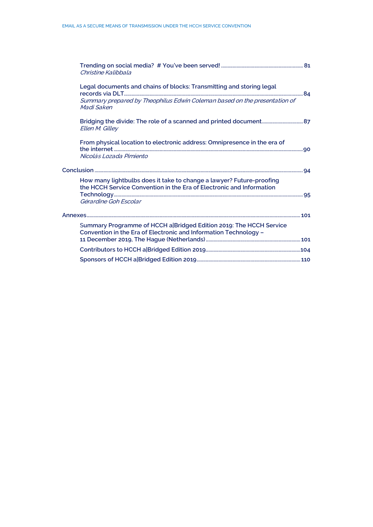|  | Christine Kalibbala                                                                                                                                                   |  |
|--|-----------------------------------------------------------------------------------------------------------------------------------------------------------------------|--|
|  | Legal documents and chains of blocks: Transmitting and storing legal<br>Summary prepared by Theophilus Edwin Coleman based on the presentation of<br>Madi Saken       |  |
|  | Ellen M. Gilley                                                                                                                                                       |  |
|  | From physical location to electronic address: Omnipresence in the era of<br>Nicolás Lozada Pimiento                                                                   |  |
|  |                                                                                                                                                                       |  |
|  | How many lightbulbs does it take to change a lawyer? Future-proofing<br>the HCCH Service Convention in the Era of Electronic and Information<br>Gérardine Goh Escolar |  |
|  |                                                                                                                                                                       |  |
|  | Summary Programme of HCCH a Bridged Edition 2019: The HCCH Service<br>Convention in the Era of Electronic and Information Technology -                                |  |
|  |                                                                                                                                                                       |  |
|  |                                                                                                                                                                       |  |
|  |                                                                                                                                                                       |  |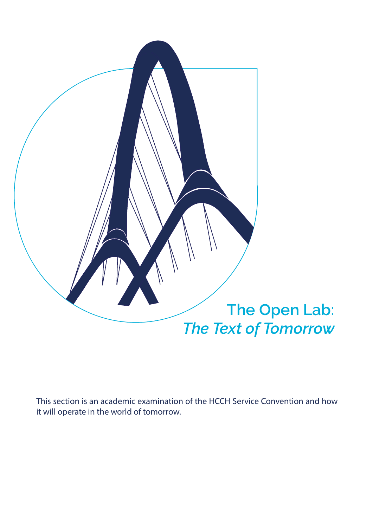

This section is an academic examination of the HCCH Service Convention and how it will operate in the world of tomorrow.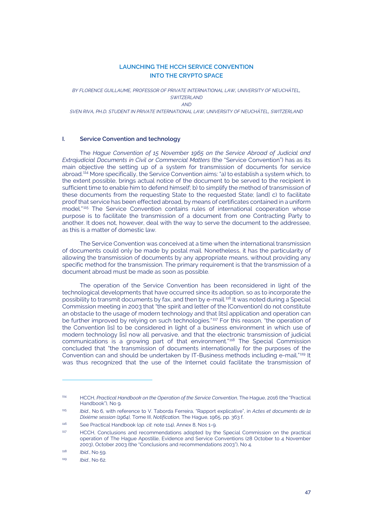#### **LAUNCHING THE HCCH SERVICE CONVENTION INTO THE CRYPTO SPACE**

<span id="page-6-0"></span>*BY FLORENCE GUILLAUME, PROFESSOR OF PRIVATE INTERNATIONAL LAW, UNIVERSITY OF NEUCHÂTEL, SWITZERLAND AND*

*SVEN RIVA, PH.D. STUDENT IN PRIVATE INTERNATIONAL LAW, UNIVERSITY OF NEUCHÂTEL, SWITZERLAND*

#### **I. Service Convention and technology**

<span id="page-6-1"></span>The *Hague Convention of 15 November 1965 on the Service Abroad of Judicial and Extrajudicial Documents in Civil or Commercial Matters* (the "Service Convention") has as its main objective the setting up of a system for transmission of documents for service abroad. [114](#page-6-2) More specifically, the Service Convention aims: "a) to establish a system which, to the extent possible, brings actual notice of the document to be served to the recipient in sufficient time to enable him to defend himself; b) to simplify the method of transmission of these documents from the requesting State to the requested State; [and] c) to facilitate proof that service has been effected abroad, by means of certificates contained in a uniform model."<sup>[115](#page-6-3)</sup> The Service Convention contains rules of international cooperation whose purpose is to facilitate the transmission of a document from one Contracting Party to another. It does not, however, deal with the way to serve the document to the addressee, as this is a matter of domestic law.

The Service Convention was conceived at a time when the international transmission of documents could only be made by postal mail. Nonetheless, it has the particularity of allowing the transmission of documents by any appropriate means, without providing any specific method for the transmission. The primary requirement is that the transmission of a document abroad must be made as soon as possible.

<span id="page-6-8"></span>The operation of the Service Convention has been reconsidered in light of the technological developments that have occurred since its adoption, so as to incorporate the possibility to transmit documents by fax, and then by e-mail.<sup>[116](#page-6-4)</sup> It was noted during a Special Commission meeting in 2003 that "the spirit and letter of the [Convention] do not constitute an obstacle to the usage of modern technology and that [its] application and operation can be further improved by relying on such technologies."<sup>[117](#page-6-5)</sup> For this reason, "the operation of the Convention [is] to be considered in light of a business environment in which use of modern technology [is] now all pervasive, and that the electronic transmission of judicial communications is a growing part of that environment." [118](#page-6-6) The Special Commission concluded that "the transmission of documents internationally for the purposes of the Convention can and should be undertaken by IT-Business methods including e-mail." [119](#page-6-7) It was thus recognized that the use of the Internet could facilitate the transmission of

<span id="page-6-2"></span><sup>114</sup> HCCH, *Practical Handbook on the Operation of the Service Convention*, The Hague, 2016 (the "Practical Handbook"), No 9.

<span id="page-6-3"></span><sup>115</sup> *Ibid*., No 6, with reference to V. Taborda Ferreira, "Rapport explicative", in *Actes et documents de la Dixième session (1964),* Tome III, *Notification*, The Hague, 1965, pp. 363 f.

<span id="page-6-4"></span><sup>116</sup> See Practical Handbook (*op. cit*. not[e 114\),](#page-6-1) Annex 8, Nos 1-9.

<span id="page-6-5"></span><sup>&</sup>lt;sup>117</sup> HCCH, Conclusions and recommendations adopted by the Special Commission on the practical operation of The Hague Apostille, Evidence and Service Conventions (28 October to 4 November 2003), October 2003 (the "Conclusions and recommendations 2003"), No 4.

<span id="page-6-6"></span><sup>118</sup> *Ibid.*, No 59.

<span id="page-6-7"></span><sup>119</sup> *Ibid.*, No 62.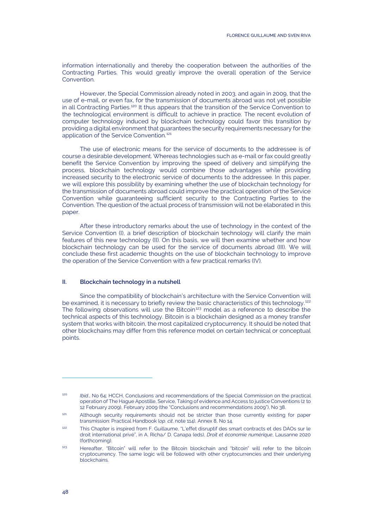information internationally and thereby the cooperation between the authorities of the Contracting Parties. This would greatly improve the overall operation of the Service Convention.

<span id="page-7-5"></span>However, the Special Commission already noted in 2003, and again in 2009, that the use of e-mail, or even fax, for the transmission of documents abroad was not yet possible in all Contracting Parties.[120](#page-7-0) It thus appears that the transition of the Service Convention to the technological environment is difficult to achieve in practice. The recent evolution of computer technology induced by blockchain technology could favor this transition by providing a digital environment that guarantees the security requirements necessary for the application of the Service Convention.<sup>[121](#page-7-1)</sup>

The use of electronic means for the service of documents to the addressee is of course a desirable development. Whereas technologies such as e-mail or fax could greatly benefit the Service Convention by improving the speed of delivery and simplifying the process, blockchain technology would combine those advantages while providing increased security to the electronic service of documents to the addressee. In this paper, we will explore this possibility by examining whether the use of blockchain technology for the transmission of documents abroad could improve the practical operation of the Service Convention while guaranteeing sufficient security to the Contracting Parties to the Convention. The question of the actual process of transmission will not be elaborated in this paper.

After these introductory remarks about the use of technology in the context of the Service Convention (I), a brief description of blockchain technology will clarify the main features of this new technology (II). On this basis, we will then examine whether and how blockchain technology can be used for the service of documents abroad (III). We will conclude these first academic thoughts on the use of blockchain technology to improve the operation of the Service Convention with a few practical remarks (IV).

#### **II. Blockchain technology in a nutshell**

<span id="page-7-4"></span>Since the compatibility of blockchain's architecture with the Service Convention will be examined, it is necessary to briefly review the basic characteristics of this technology.<sup>[122](#page-7-2)</sup> The following observations will use the Bitcoin<sup>[123](#page-7-3)</sup> model as a reference to describe the technical aspects of this technology. Bitcoin is a blockchain designed as a money transfer system that works with bitcoin, the most capitalized cryptocurrency. It should be noted that other blockchains may differ from this reference model on certain technical or conceptual points.

<span id="page-7-0"></span><sup>120</sup> *Ibid*., No 64; HCCH, Conclusions and recommendations of the Special Commission on the practical operation of The Hague Apostille, Service, Taking of evidence and Access to justice Conventions (2 to 12 February 2009), February 2009 (the "Conclusions and recommendations 2009"), No 38.

<span id="page-7-1"></span><sup>&</sup>lt;sup>121</sup> Although security requirements should not be stricter than those currently existing for paper transmission: Practical Handbook (*op. cit*. not[e 114\)](#page-6-1), Annex 8, No 14.

<span id="page-7-2"></span><sup>122</sup> This Chapter is inspired from F. Guillaume, "L'effet disruptif des smart contracts et des DAOs sur le droit international privé", in A. Richa/ D. Canapa (eds), *Droit et économie numérique*, Lausanne 2020 (forthcoming).

<span id="page-7-3"></span><sup>123</sup> Hereafter, "Bitcoin" will refer to the Bitcoin blockchain and "bitcoin" will refer to the bitcoin cryptocurrency. The same logic will be followed with other cryptocurrencies and their underlying blockchains.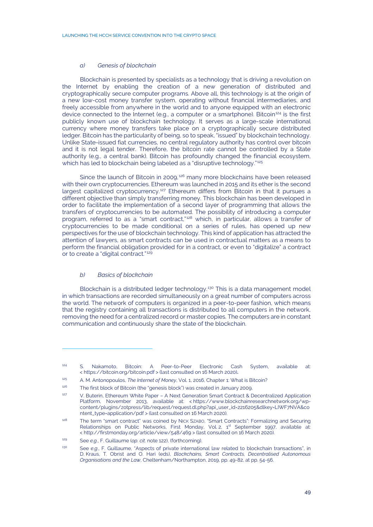#### <span id="page-8-8"></span>*a) Genesis of blockchain*

Blockchain is presented by specialists as a technology that is driving a revolution on the Internet by enabling the creation of a new generation of distributed and cryptographically secure computer programs. Above all, this technology is at the origin of a new low-cost money transfer system, operating without financial intermediaries, and freely accessible from anywhere in the world and to anyone equipped with an electronic device connected to the Internet (e.g., a computer or a smartphone). Bitcoin<sup>[124](#page-8-0)</sup> is the first publicly known use of blockchain technology. It serves as a large-scale international currency where money transfers take place on a cryptographically secure distributed ledger. Bitcoin has the particularity of being, so to speak, "issued" by blockchain technology. Unlike State-issued fiat currencies, no central regulatory authority has control over bitcoin and it is not legal tender. Therefore, the bitcoin rate cannot be controlled by a State authority (e.g., a central bank). Bitcoin has profoundly changed the financial ecosystem, which has led to blockchain being labeled as a "disruptive technology."<sup>[125](#page-8-1)</sup>

<span id="page-8-7"></span>Since the launch of Bitcoin in 2009, $126$  many more blockchains have been released with their own cryptocurrencies. Ethereum was launched in 2015 and its ether is the second largest capitalized cryptocurrency.<sup>[127](#page-8-3)</sup> Ethereum differs from Bitcoin in that it pursues a different objective than simply transferring money. This blockchain has been developed in order to facilitate the implementation of a second layer of programming that allows the transfers of cryptocurrencies to be automated. The possibility of introducing a computer program, referred to as a "smart contract,"<sup>[128](#page-8-4)</sup> which, in particular, allows a transfer of cryptocurrencies to be made conditional on a series of rules, has opened up new perspectives for the use of blockchain technology. This kind of application has attracted the attention of lawyers, as smart contracts can be used in contractual matters as a means to perform the financial obligation provided for in a contract, or even to "digitalize" a contract or to create a "digital contract." [129](#page-8-5)

#### *b) Basics of blockchain*

Blockchain is a distributed ledger technology.<sup>[130](#page-8-6)</sup> This is a data management model in which transactions are recorded simultaneously on a great number of computers across the world. The network of computers is organized in a peer-to-peer fashion, which means that the registry containing all transactions is distributed to all computers in the network, removing the need for a centralized record or master copies. The computers are in constant communication and continuously share the state of the blockchain.

<span id="page-8-0"></span><sup>124</sup> S. Nakamoto, Bitcoin: A Peer-to-Peer Electronic Cash System, available at: < https://bitcoin.org/bitcoin.pdf > (last consulted on 16 March 2020)**.**

<span id="page-8-1"></span><sup>125</sup> A. M. Antonopoulos, *The Internet of Money*, Vol. 1, 2016, Chapter 1: What is Bitcoin?

 $126$  The first block of Bitcoin (the "genesis block") was created in January 2009.

<span id="page-8-3"></span><span id="page-8-2"></span><sup>&</sup>lt;sup>127</sup> V. Buterin, Ethereum White Paper – A Next Generation Smart Contract & Decentralized Application Platform, November 2013, available at: < https://www.blockchainresearchnetwork.org/wpcontent/plugins/zotpress/lib/request/request.dl.php?api\_user\_id=2216205&dlkey=LIWF7NVA&co ntent\_type=application/pdf > (last consulted on 16 March 2020).

<span id="page-8-4"></span><sup>128</sup> The term "smart contract" was coined by NICK SZABO, "Smart Contracts": Formalizing and Securing Relationships on Public Networks, First Monday, Vol. 2, 1<sup>st</sup> September 1997, available at: < http://firstmonday.org/article/view/548/469 > (last consulted on 16 March 2020).

<span id="page-8-5"></span><sup>129</sup> See *e.g*., F. Guillaume (*op. cit*. not[e 122\),](#page-7-4) (forthcoming).

<span id="page-8-6"></span><sup>130</sup> See *e.g*., F. Guillaume, "Aspects of private international law related to blockchain transactions", in D. Kraus, T. Obrist and O. Hari (eds), *Blockchains, Smart Contracts, Decentralised Autonomous Organisations and the Law*, Cheltenham/Northampton, 2019, pp. 49-82, at pp. 54-56.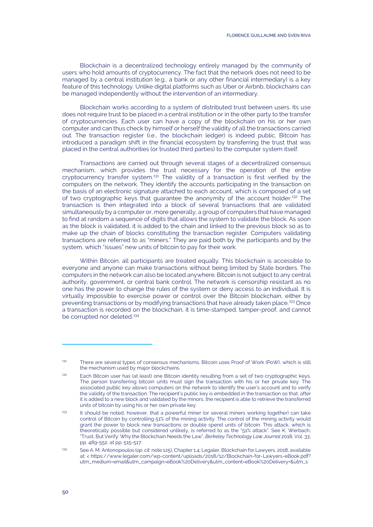Blockchain is a decentralized technology entirely managed by the community of users who hold amounts of cryptocurrency. The fact that the network does not need to be managed by a central institution (e.g., a bank or any other financial intermediary) is a key feature of this technology. Unlike digital platforms such as Uber or Airbnb, blockchains can be managed independently without the intervention of an intermediary.

Blockchain works according to a system of distributed trust between users. Its use does not require trust to be placed in a central institution or in the other party to the transfer of cryptocurrencies. Each user can have a copy of the blockchain on his or her own computer and can thus check by himself or herself the validity of all the transactions carried out. The transaction register (i.e., the blockchain ledger) is indeed public. Bitcoin has introduced a paradigm shift in the financial ecosystem by transferring the trust that was placed in the central authorities (or trusted third parties) to the computer system itself.

Transactions are carried out through several stages of a decentralized consensus mechanism, which provides the trust necessary for the operation of the entire cryptocurrency transfer system.[131](#page-9-0) The validity of a transaction is first verified by the computers on the network. They identify the accounts participating in the transaction on the basis of an electronic signature attached to each account, which is composed of a set of two cryptographic keys that guarantee the anonymity of the account holder.[132](#page-9-1) The transaction is then integrated into a block of several transactions that are validated simultaneously by a computer or, more generally, a group of computers that have managed to find at random a sequence of digits that allows the system to validate the block. As soon as the block is validated, it is added to the chain and linked to the previous block so as to make up the chain of blocks constituting the transaction register. Computers validating transactions are referred to as "miners." They are paid both by the participants and by the system, which "issues" new units of bitcoin to pay for their work.

<span id="page-9-4"></span>Within Bitcoin, all participants are treated equally. This blockchain is accessible to everyone and anyone can make transactions without being limited by State borders. The computers in the network can also be located anywhere. Bitcoin is not subject to any central authority, government, or central bank control. The network is censorship resistant as no one has the power to change the rules of the system or deny access to an individual. It is virtually impossible to exercise power or control over the Bitcoin blockchain, either by preventing transactions or by modifying transactions that have already taken place.<sup>[133](#page-9-2)</sup> Once a transaction is recorded on the blockchain, it is time-stamped, tamper-proof, and cannot be corrupted nor deleted.<sup>[134](#page-9-3)</sup>

<span id="page-9-0"></span><sup>&</sup>lt;sup>131</sup> There are several types of consensus mechanisms. Bitcoin uses Proof of Work (PoW), which is still the mechanism used by major blockchains.

<span id="page-9-1"></span><sup>&</sup>lt;sup>132</sup> Each Bitcoin user has (at least) one Bitcoin identity resulting from a set of two cryptographic keys. The person transferring bitcoin units must sign the transaction with his or her private key. The associated public key allows computers on the network to identify the user's account and to verify the validity of the transaction. The recipient's public key is embedded in the transaction so that, after it is added to a new block and validated by the minors, the recipient is able to retrieve the transferred units of bitcoin by using his or her own private key.

<span id="page-9-2"></span><sup>&</sup>lt;sup>133</sup> It should be noted, however, that a powerful miner (or several miners working together) can take control of Bitcoin by controlling 51% of the mining activity. The control of the mining activity would grant the power to block new transactions or double spend units of bitcoin. This attack, which is theoretically possible but considered unlikely, is referred to as the "51% attack". See K. Werbach, "Trust, But Verify: Why the Blockchain Needs the Law", *Berkeley Technology Law Journal* 2018, Vol. 33, pp. 489-552, at pp. 515-517.

<span id="page-9-3"></span><sup>134</sup> See A. M. Antonopoulos (*op. cit.* not[e 125\)](#page-8-7), Chapter 1.4; Legaler, Blockchain for Lawyers, 2018, available at: < https://www.legaler.com/wp-content/uploads/2018/12/Blockchain-for-Lawyers-eBook.pdf? utm\_medium=email&utm\_campaign=eBook%20Delivery&utm\_content=eBook%20Delivery+&utm\_s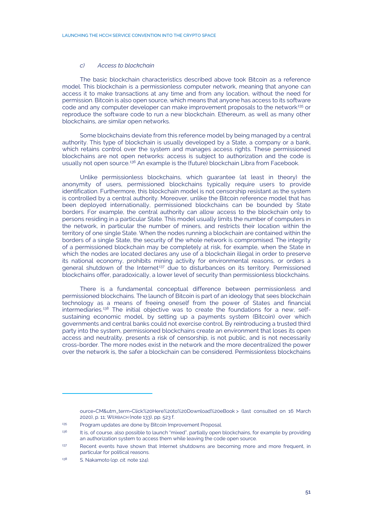#### *c) Access to blockchain*

The basic blockchain characteristics described above took Bitcoin as a reference model. This blockchain is a permissionless computer network, meaning that anyone can access it to make transactions at any time and from any location, without the need for permission. Bitcoin is also open source, which means that anyone has access to its software code and any computer developer can make improvement proposals to the network $135$  or reproduce the software code to run a new blockchain. Ethereum, as well as many other blockchains, are similar open networks.

Some blockchains deviate from this reference model by being managed by a central authority. This type of blockchain is usually developed by a State, a company or a bank, which retains control over the system and manages access rights. These permissioned blockchains are not open networks: access is subject to authorization and the code is usually not open source.<sup>[136](#page-10-1)</sup> An example is the (future) blockchain Libra from Facebook.

Unlike permissionless blockchains, which guarantee (at least in theory) the anonymity of users, permissioned blockchains typically require users to provide identification. Furthermore, this blockchain model is not censorship resistant as the system is controlled by a central authority. Moreover, unlike the Bitcoin reference model that has been deployed internationally, permissioned blockchains can be bounded by State borders. For example, the central authority can allow access to the blockchain only to persons residing in a particular State. This model usually limits the number of computers in the network, in particular the number of miners, and restricts their location within the territory of one single State. When the nodes running a blockchain are contained within the borders of a single State, the security of the whole network is compromised. The integrity of a permissioned blockchain may be completely at risk, for example, when the State in which the nodes are located declares any use of a blockchain illegal in order to preserve its national economy, prohibits mining activity for environmental reasons, or orders a general shutdown of the Internet<sup>[137](#page-10-2)</sup> due to disturbances on its territory. Permissioned blockchains offer, paradoxically, a lower level of security than permissionless blockchains.

There is a fundamental conceptual difference between permissionless and permissioned blockchains. The launch of Bitcoin is part of an ideology that sees blockchain technology as a means of freeing oneself from the power of States and financial intermediaries.<sup>[138](#page-10-3)</sup> The initial objective was to create the foundations for a new, selfsustaining economic model, by setting up a payments system (Bitcoin) over which governments and central banks could not exercise control. By reintroducing a trusted third party into the system, permissioned blockchains create an environment that loses its open access and neutrality, presents a risk of censorship, is not public, and is not necessarily cross-border. The more nodes exist in the network and the more decentralized the power over the network is, the safer a blockchain can be considered. Permissionless blockchains

ource=CM&utm\_term=Click%20Here%20to%20Download%20eBook > (last consulted on 16 March 2020), p. 11; WERBACH (note [133\)](#page-9-4), pp. 523 f.

<span id="page-10-0"></span><sup>&</sup>lt;sup>135</sup> Program updates are done by Bitcoin Improvement Proposal.

<span id="page-10-1"></span><sup>&</sup>lt;sup>136</sup> It is, of course, also possible to launch "mixed", partially open blockchains, for example by providing an authorization system to access them while leaving the code open source.

<span id="page-10-2"></span><sup>&</sup>lt;sup>137</sup> Recent events have shown that Internet shutdowns are becoming more and more frequent, in particular for political reasons.

<span id="page-10-3"></span><sup>138</sup> S. Nakamoto (*op. cit.* not[e 124\)](#page-8-8).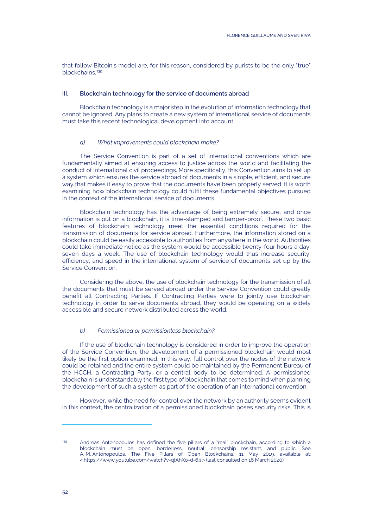that follow Bitcoin's model are, for this reason, considered by purists to be the only "true" blockchains.<sup>[139](#page-11-0)</sup>

#### **III. Blockchain technology for the service of documents abroad**

Blockchain technology is a major step in the evolution of information technology that cannot be ignored. Any plans to create a new system of international service of documents must take this recent technological development into account.

#### *a) What improvements could blockchain make?*

The Service Convention is part of a set of international conventions which are fundamentally aimed at ensuring access to justice across the world and facilitating the conduct of international civil proceedings. More specifically, this Convention aims to set up a system which ensures the service abroad of documents in a simple, efficient, and secure way that makes it easy to prove that the documents have been properly served. It is worth examining how blockchain technology could fulfil these fundamental objectives pursued in the context of the international service of documents.

Blockchain technology has the advantage of being extremely secure, and once information is put on a blockchain, it is time-stamped and tamper-proof. These two basic features of blockchain technology meet the essential conditions required for the transmission of documents for service abroad. Furthermore, the information stored on a blockchain could be easily accessible to authorities from anywhere in the world. Authorities could take immediate notice as the system would be accessible twenty-four hours a day, seven days a week. The use of blockchain technology would thus increase security, efficiency, and speed in the international system of service of documents set up by the Service Convention.

Considering the above, the use of blockchain technology for the transmission of all the documents that must be served abroad under the Service Convention could greatly benefit all Contracting Parties. If Contracting Parties were to jointly use blockchain technology in order to serve documents abroad, they would be operating on a widely accessible and secure network distributed across the world.

#### *b) Permissioned or permissionless blockchain?*

If the use of blockchain technology is considered in order to improve the operation of the Service Convention, the development of a permissioned blockchain would most likely be the first option examined. In this way, full control over the nodes of the network could be retained and the entire system could be maintained by the Permanent Bureau of the HCCH, a Contracting Party, or a central body to be determined. A permissioned blockchain is understandably the first type of blockchain that comes to mind when planning the development of such a system as part of the operation of an international convention.

However, while the need for control over the network by an authority seems evident in this context, the centralization of a permissioned blockchain poses security risks. This is

<span id="page-11-0"></span><sup>139</sup> Andreas Antonopoulos has defined the five pillars of a "real" blockchain, according to which a blockchain must be open, borderless, neutral, censorship resistant, and public. See A. M. Antonopoulos, The Five Pillars of Open Blockchains, 11 May 2019, available at: < https://www.youtube.com/watch?v=qlAhXo-d-64 > (last consulted on 16 March 2020).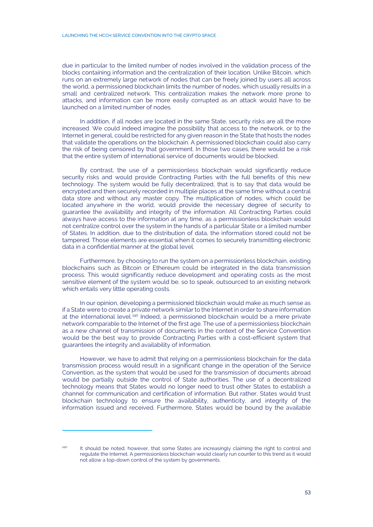due in particular to the limited number of nodes involved in the validation process of the blocks containing information and the centralization of their location. Unlike Bitcoin, which runs on an extremely large network of nodes that can be freely joined by users all across the world, a permissioned blockchain limits the number of nodes, which usually results in a small and centralized network. This centralization makes the network more prone to attacks, and information can be more easily corrupted as an attack would have to be launched on a limited number of nodes.

In addition, if all nodes are located in the same State, security risks are all the more increased. We could indeed imagine the possibility that access to the network, or to the Internet in general, could be restricted for any given reason in the State that hosts the nodes that validate the operations on the blockchain. A permissioned blockchain could also carry the risk of being censored by that government. In those two cases, there would be a risk that the entire system of international service of documents would be blocked.

By contrast, the use of a permissionless blockchain would significantly reduce security risks and would provide Contracting Parties with the full benefits of this new technology. The system would be fully decentralized, that is to say that data would be encrypted and then securely recorded in multiple places at the same time without a central data store and without any master copy. The multiplication of nodes, which could be located anywhere in the world, would provide the necessary degree of security to guarantee the availability and integrity of the information. All Contracting Parties could always have access to the information at any time, as a permissionless blockchain would not centralize control over the system in the hands of a particular State or a limited number of States. In addition, due to the distribution of data, the information stored could not be tampered. Those elements are essential when it comes to securely transmitting electronic data in a confidential manner at the global level.

Furthermore, by choosing to run the system on a permissionless blockchain, existing blockchains such as Bitcoin or Ethereum could be integrated in the data transmission process. This would significantly reduce development and operating costs as the most sensitive element of the system would be, so to speak, outsourced to an existing network which entails very little operating costs.

In our opinion, developing a permissioned blockchain would make as much sense as if a State were to create a private network similar to the Internet in order to share information at the international level.<sup>[140](#page-12-0)</sup> Indeed, a permissioned blockchain would be a mere private network comparable to the Internet of the first age. The use of a permissionless blockchain as a new channel of transmission of documents in the context of the Service Convention would be the best way to provide Contracting Parties with a cost-efficient system that guarantees the integrity and availability of information.

However, we have to admit that relying on a permissionless blockchain for the data transmission process would result in a significant change in the operation of the Service Convention, as the system that would be used for the transmission of documents abroad would be partially outside the control of State authorities. The use of a decentralized technology means that States would no longer need to trust other States to establish a channel for communication and certification of information. But rather, States would trust blockchain technology to ensure the availability, authenticity, and integrity of the information issued and received. Furthermore, States would be bound by the available

<span id="page-12-0"></span><sup>&</sup>lt;sup>140</sup> It should be noted, however, that some States are increasingly claiming the right to control and regulate the Internet. A permissionless blockchain would clearly run counter to this trend as it would not allow a top-down control of the system by governments.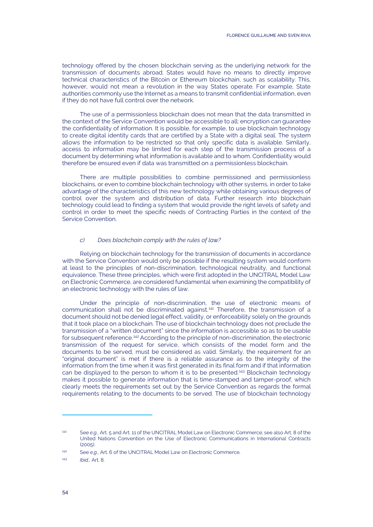technology offered by the chosen blockchain serving as the underlying network for the transmission of documents abroad. States would have no means to directly improve technical characteristics of the Bitcoin or Ethereum blockchain, such as scalability. This, however, would not mean a revolution in the way States operate. For example, State authorities commonly use the Internet as a means to transmit confidential information, even if they do not have full control over the network.

The use of a permissionless blockchain does not mean that the data transmitted in the context of the Service Convention would be accessible to all: encryption can guarantee the confidentiality of information. It is possible, for example, to use blockchain technology to create digital identity cards that are certified by a State with a digital seal. The system allows the information to be restricted so that only specific data is available. Similarly, access to information may be limited for each step of the transmission process of a document by determining what information is available and to whom. Confidentiality would therefore be ensured even if data was transmitted on a permissionless blockchain.

There are multiple possibilities to combine permissioned and permissionless blockchains, or even to combine blockchain technology with other systems, in order to take advantage of the characteristics of this new technology while obtaining various degrees of control over the system and distribution of data. Further research into blockchain technology could lead to finding a system that would provide the right levels of safety and control in order to meet the specific needs of Contracting Parties in the context of the Service Convention.

#### *c) Does blockchain comply with the rules of law?*

Relying on blockchain technology for the transmission of documents in accordance with the Service Convention would only be possible if the resulting system would conform at least to the principles of non-discrimination, technological neutrality, and functional equivalence. These three principles, which were first adopted in the UNCITRAL Model Law on Electronic Commerce, are considered fundamental when examining the compatibility of an electronic technology with the rules of law.

Under the principle of non-discrimination, the use of electronic means of communication shall not be discriminated against.[141](#page-13-0) Therefore, the transmission of a document should not be denied legal effect, validity, or enforceability solely on the grounds that it took place on a blockchain. The use of blockchain technology does not preclude the transmission of a "written document" since the information is accessible so as to be usable for subsequent reference.<sup>[142](#page-13-1)</sup> According to the principle of non-discrimination, the electronic transmission of the request for service, which consists of the model form and the documents to be served, must be considered as valid. Similarly, the requirement for an "original document" is met if there is a reliable assurance as to the integrity of the information from the time when it was first generated in its final form and if that information can be displayed to the person to whom it is to be presented.<sup>[143](#page-13-2)</sup> Blockchain technology makes it possible to generate information that is time-stamped and tamper-proof, which clearly meets the requirements set out by the Service Convention as regards the formal requirements relating to the documents to be served. The use of blockchain technology

<span id="page-13-0"></span><sup>141</sup> See *e.g.,* Art. 5 and Art. 11 of the UNCITRAL Model Law on Electronic Commerce; see also Art. 8 of the United Nations Convention on the Use of Electronic Communications in International Contracts  $(2005)$ 

<span id="page-13-1"></span><sup>142</sup> See *e.g.,* Art. 6 of the UNCITRAL Model Law on Electronic Commerce.

<span id="page-13-2"></span><sup>143</sup> *Ibid* Art 8.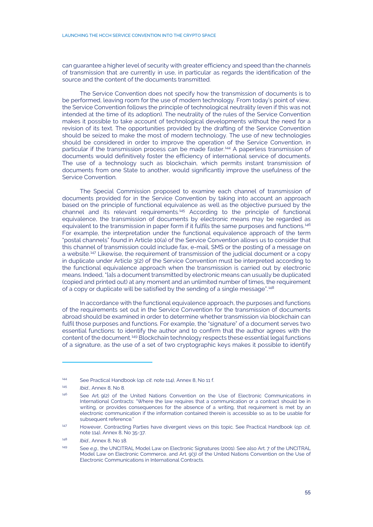can guarantee a higher level of security with greater efficiency and speed than the channels of transmission that are currently in use, in particular as regards the identification of the source and the content of the documents transmitted.

The Service Convention does not specify how the transmission of documents is to be performed, leaving room for the use of modern technology. From today's point of view, the Service Convention follows the principle of technological neutrality (even if this was not intended at the time of its adoption). The neutrality of the rules of the Service Convention makes it possible to take account of technological developments without the need for a revision of its text. The opportunities provided by the drafting of the Service Convention should be seized to make the most of modern technology. The use of new technologies should be considered in order to improve the operation of the Service Convention, in particular if the transmission process can be made faster.<sup>[144](#page-14-0)</sup> A paperless transmission of documents would definitively foster the efficiency of international service of documents. The use of a technology such as blockchain, which permits instant transmission of documents from one State to another, would significantly improve the usefulness of the Service Convention.

The Special Commission proposed to examine each channel of transmission of documents provided for in the Service Convention by taking into account an approach based on the principle of functional equivalence as well as the objective pursued by the channel and its relevant requirements.[145](#page-14-1) According to the principle of functional equivalence, the transmission of documents by electronic means may be regarded as equivalent to the transmission in paper form if it fulfils the same purposes and functions. [146](#page-14-2) For example, the interpretation under the functional equivalence approach of the term "postal channels" found in Article 10(a) of the Service Convention allows us to consider that this channel of transmission could include fax, e-mail, SMS or the posting of a message on a website.<sup>[147](#page-14-3)</sup> Likewise, the requirement of transmission of the judicial document or a copy in duplicate under Article 3(2) of the Service Convention must be interpreted according to the functional equivalence approach when the transmission is carried out by electronic means. Indeed, "[a]s a document transmitted by electronic means can usually be duplicated (copied and printed out) at any moment and an unlimited number of times, the requirement of a copy or duplicate will be satisfied by the sending of a single message".<sup>[148](#page-14-4)</sup>

In accordance with the functional equivalence approach, the purposes and functions of the requirements set out in the Service Convention for the transmission of documents abroad should be examined in order to determine whether transmission via blockchain can fulfil those purposes and functions. For example, the "signature" of a document serves two essential functions: to identify the author and to confirm that the author agrees with the content of the document.[149](#page-14-5) Blockchain technology respects these essential legal functions of a signature, as the use of a set of two cryptographic keys makes it possible to identify

<span id="page-14-0"></span><sup>144</sup> See Practical Handbook (*op. cit*. note [114\),](#page-6-1) Annex 8, No 11 f.

<sup>145</sup> *Ibid*., Annex 8, No 8.

<span id="page-14-2"></span><span id="page-14-1"></span><sup>146</sup> See Art. 9(2) of the United Nations Convention on the Use of Electronic Communications in International Contracts: "Where the law requires that a communication or a contract should be in writing, or provides consequences for the absence of a writing, that requirement is met by an electronic communication if the information contained therein is accessible so as to be usable for subsequent reference."

<span id="page-14-3"></span><sup>147</sup> However, Contracting Parties have divergent views on this topic. See Practical Handbook (*op. cit*. note [114\),](#page-6-1) Annex 8, No 35-37.

<span id="page-14-4"></span><sup>148</sup> *Ibid*., Annex 8, No 18.

<span id="page-14-5"></span><sup>149</sup> See *e.g.,* the UNCITRAL Model Law on Electronic Signatures (2001). See also Art. 7 of the UNCITRAL Model Law on Electronic Commerce, and Art. 9(3) of the United Nations Convention on the Use of Electronic Communications in International Contracts.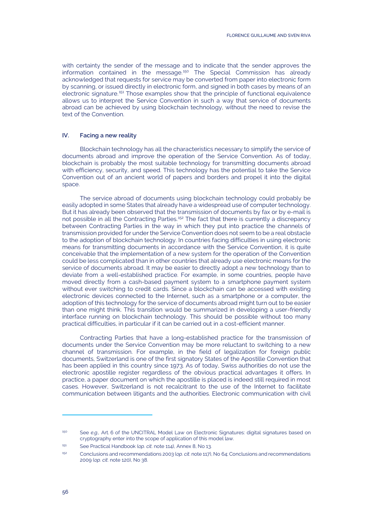with certainty the sender of the message and to indicate that the sender approves the information contained in the message.[150](#page-15-0) The Special Commission has already acknowledged that requests for service may be converted from paper into electronic form by scanning, or issued directly in electronic form, and signed in both cases by means of an electronic signature.[151](#page-15-1) Those examples show that the principle of functional equivalence allows us to interpret the Service Convention in such a way that service of documents abroad can be achieved by using blockchain technology, without the need to revise the text of the Convention.

#### **IV. Facing a new reality**

Blockchain technology has all the characteristics necessary to simplify the service of documents abroad and improve the operation of the Service Convention. As of today, blockchain is probably the most suitable technology for transmitting documents abroad with efficiency, security, and speed. This technology has the potential to take the Service Convention out of an ancient world of papers and borders and propel it into the digital space.

The service abroad of documents using blockchain technology could probably be easily adopted in some States that already have a widespread use of computer technology. But it has already been observed that the transmission of documents by fax or by e-mail is not possible in all the Contracting Parties.[152](#page-15-2) The fact that there is currently a discrepancy between Contracting Parties in the way in which they put into practice the channels of transmission provided for under the Service Convention does not seem to be a real obstacle to the adoption of blockchain technology. In countries facing difficulties in using electronic means for transmitting documents in accordance with the Service Convention, it is quite conceivable that the implementation of a new system for the operation of the Convention could be less complicated than in other countries that already use electronic means for the service of documents abroad. It may be easier to directly adopt a new technology than to deviate from a well-established practice. For example, in some countries, people have moved directly from a cash-based payment system to a smartphone payment system without ever switching to credit cards. Since a blockchain can be accessed with existing electronic devices connected to the Internet, such as a smartphone or a computer, the adoption of this technology for the service of documents abroad might turn out to be easier than one might think. This transition would be summarized in developing a user-friendly interface running on blockchain technology. This should be possible without too many practical difficulties, in particular if it can be carried out in a cost-efficient manner.

Contracting Parties that have a long-established practice for the transmission of documents under the Service Convention may be more reluctant to switching to a new channel of transmission. For example, in the field of legalization for foreign public documents, Switzerland is one of the first signatory States of the Apostille Convention that has been applied in this country since 1973. As of today, Swiss authorities do not use the electronic apostille register regardless of the obvious practical advantages it offers. In practice, a paper document on which the apostille is placed is indeed still required in most cases. However, Switzerland is not recalcitrant to the use of the Internet to facilitate communication between litigants and the authorities. Electronic communication with civil

<span id="page-15-0"></span><sup>150</sup> See *e.g.,* Art. 6 of the UNCITRAL Model Law on Electronic Signatures: digital signatures based on cryptography enter into the scope of application of this model law.

<span id="page-15-1"></span><sup>151</sup> See Practical Handbook (*op. cit*. note [114\),](#page-6-1) Annex 8, No 13.

<span id="page-15-2"></span><sup>152</sup> Conclusions and recommendations 2003 (*op. cit*. not[e 117\),](#page-6-8) No 64; Conclusions and recommendations 2009 (*op. cit*. not[e 120\),](#page-7-5) No 38.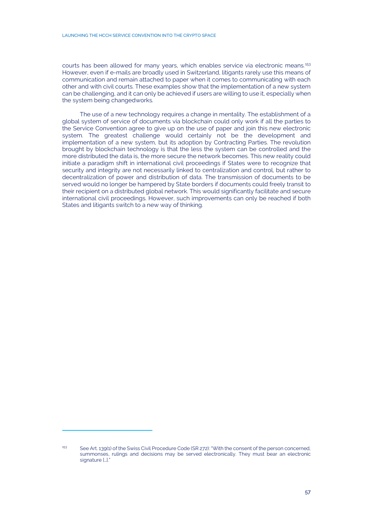courts has been allowed for many years, which enables service via electronic means.<sup>[153](#page-16-0)</sup> However, even if e-mails are broadly used in Switzerland, litigants rarely use this means of communication and remain attached to paper when it comes to communicating with each other and with civil courts. These examples show that the implementation of a new system can be challenging, and it can only be achieved if users are willing to use it, especially when the system being changedworks.

The use of a new technology requires a change in mentality. The establishment of a global system of service of documents via blockchain could only work if all the parties to the Service Convention agree to give up on the use of paper and join this new electronic system. The greatest challenge would certainly not be the development and implementation of a new system, but its adoption by Contracting Parties. The revolution brought by blockchain technology is that the less the system can be controlled and the more distributed the data is, the more secure the network becomes. This new reality could initiate a paradigm shift in international civil proceedings if States were to recognize that security and integrity are not necessarily linked to centralization and control, but rather to decentralization of power and distribution of data. The transmission of documents to be served would no longer be hampered by State borders if documents could freely transit to their recipient on a distributed global network. This would significantly facilitate and secure international civil proceedings. However, such improvements can only be reached if both States and litigants switch to a new way of thinking.

<span id="page-16-0"></span><sup>153</sup> See Art. 139(1) of the Swiss Civil Procedure Code (SR 272): "With the consent of the person concerned, summonses, rulings and decisions may be served electronically. They must bear an electronic signature [...].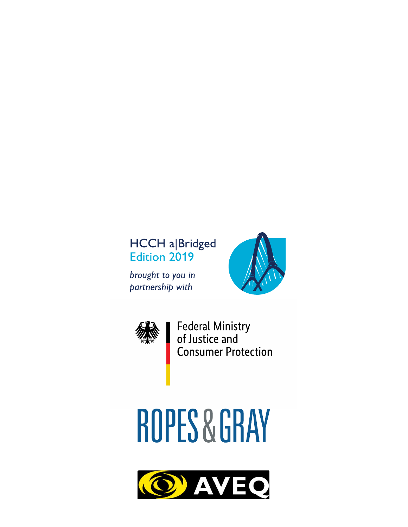## **HCCH a|Bridged Edition 2019**

brought to you in partnership with





Federal Ministry<br>of Justice and<br>Consumer Protection

# **ROPES & GRAY**